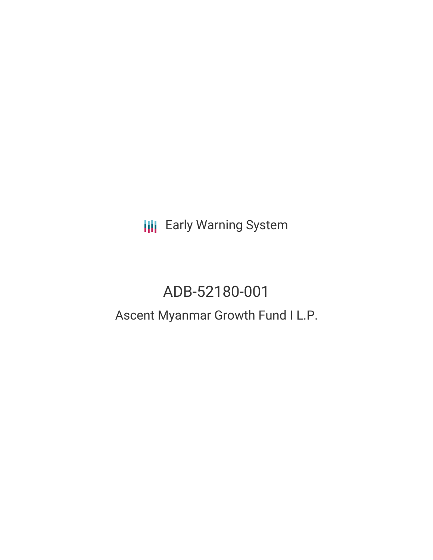**III** Early Warning System

# ADB-52180-001

## Ascent Myanmar Growth Fund I L.P.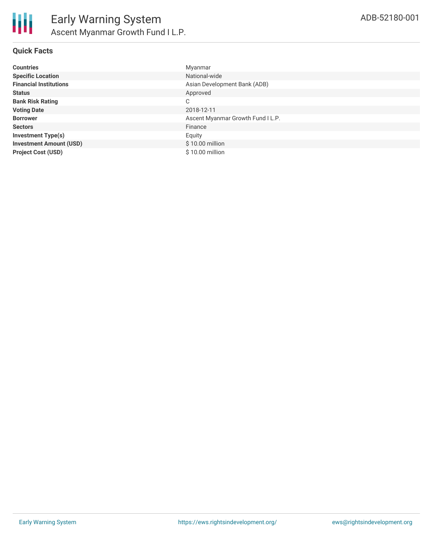#### **Quick Facts**

| <b>Countries</b>               | Myanmar                           |
|--------------------------------|-----------------------------------|
| <b>Specific Location</b>       | National-wide                     |
| <b>Financial Institutions</b>  | Asian Development Bank (ADB)      |
| <b>Status</b>                  | Approved                          |
| <b>Bank Risk Rating</b>        | C                                 |
| <b>Voting Date</b>             | 2018-12-11                        |
| <b>Borrower</b>                | Ascent Myanmar Growth Fund I L.P. |
| <b>Sectors</b>                 | Finance                           |
| <b>Investment Type(s)</b>      | Equity                            |
| <b>Investment Amount (USD)</b> | \$10.00 million                   |
| <b>Project Cost (USD)</b>      | \$10.00 million                   |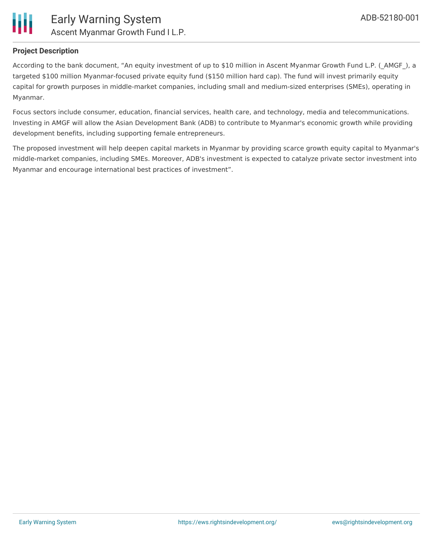

#### **Project Description**

According to the bank document, "An equity investment of up to \$10 million in Ascent Myanmar Growth Fund L.P. ( AMGF), a targeted \$100 million Myanmar-focused private equity fund (\$150 million hard cap). The fund will invest primarily equity capital for growth purposes in middle-market companies, including small and medium-sized enterprises (SMEs), operating in Myanmar.

Focus sectors include consumer, education, financial services, health care, and technology, media and telecommunications. Investing in AMGF will allow the Asian Development Bank (ADB) to contribute to Myanmar's economic growth while providing development benefits, including supporting female entrepreneurs.

The proposed investment will help deepen capital markets in Myanmar by providing scarce growth equity capital to Myanmar's middle-market companies, including SMEs. Moreover, ADB's investment is expected to catalyze private sector investment into Myanmar and encourage international best practices of investment".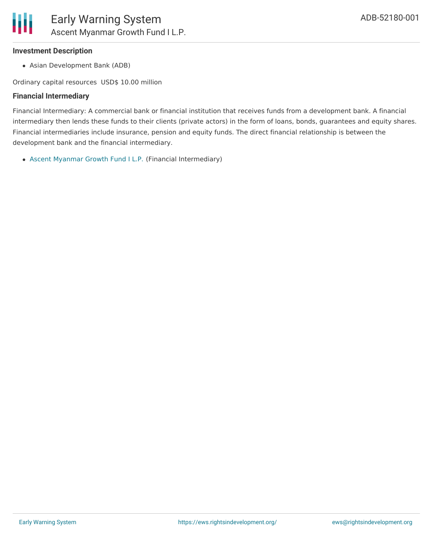### **Investment Description**

Asian Development Bank (ADB)

Ordinary capital resources USD\$ 10.00 million

## **Financial Intermediary**

Financial Intermediary: A commercial bank or financial institution that receives funds from a development bank. A financial intermediary then lends these funds to their clients (private actors) in the form of loans, bonds, guarantees and equity shares. Financial intermediaries include insurance, pension and equity funds. The direct financial relationship is between the development bank and the financial intermediary.

Ascent [Myanmar](file:///actor/1588/) Growth Fund I L.P. (Financial Intermediary)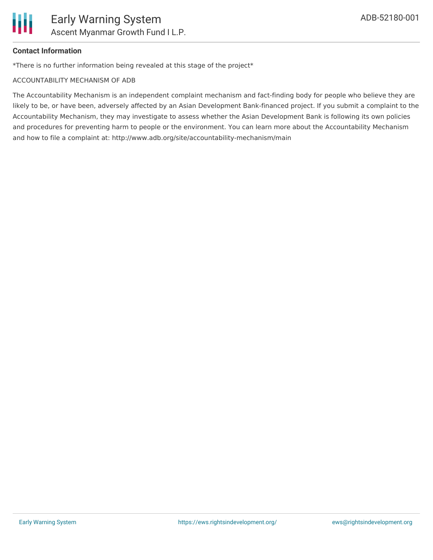

## **Contact Information**

\*There is no further information being revealed at this stage of the project\*

#### ACCOUNTABILITY MECHANISM OF ADB

The Accountability Mechanism is an independent complaint mechanism and fact-finding body for people who believe they are likely to be, or have been, adversely affected by an Asian Development Bank-financed project. If you submit a complaint to the Accountability Mechanism, they may investigate to assess whether the Asian Development Bank is following its own policies and procedures for preventing harm to people or the environment. You can learn more about the Accountability Mechanism and how to file a complaint at: http://www.adb.org/site/accountability-mechanism/main